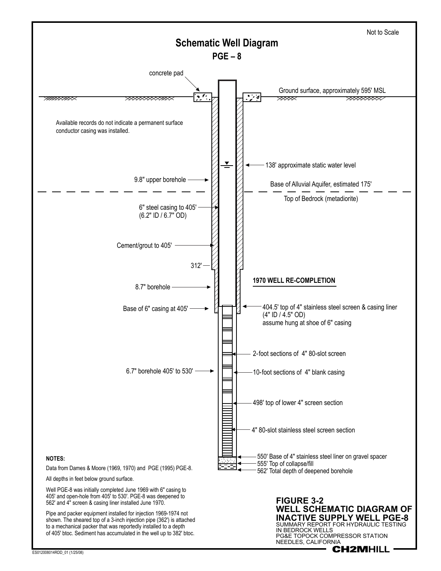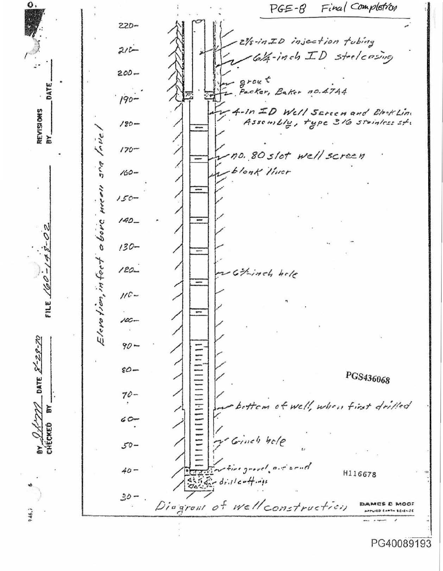0. Final Completion  $PGE - 8$  $220 -$ 21/8-in ID injection tubing  $210 64 - inch \;ID$  steelcasing  $\ddot{\cdot}$  $200$ grout<br>Packer, Baker no.47A4 DATE  $190 -$ 4-In ID Well Screen and Block Line REVISIONS Assembly, type 316 stainless st.  $180$ son Inve δY  $170$ no. 80 slot well screen *blonk liner*  $160 -$ Elevotion, infect above meen  $150 140 130 120 -$ Git-inch hole FILE  $160$  $110 100 8 - 28 - 76$  $90 \varepsilon \varphi -$ PGS436068 DATE.  $70$ bettem of well, when first drilled  $60 -$ CHECKED Grines hele  $50$ fire grovel, air send  $40 -$ H116678  $4554 - 4$ ril coffings  $30 -$ . Diagrout of Well construction DAMES E MOOT PPLIED CAPTH SCIENCE PG40089193